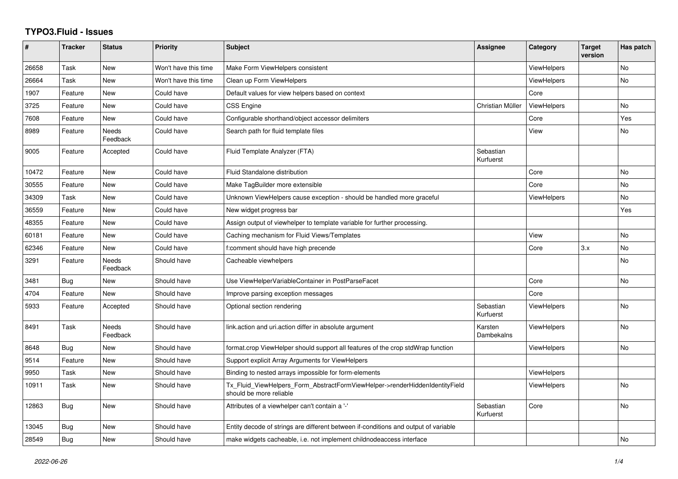## **TYPO3.Fluid - Issues**

| #     | <b>Tracker</b> | <b>Status</b>            | <b>Priority</b>      | <b>Subject</b>                                                                                         | Assignee               | Category           | <b>Target</b><br>version | Has patch      |
|-------|----------------|--------------------------|----------------------|--------------------------------------------------------------------------------------------------------|------------------------|--------------------|--------------------------|----------------|
| 26658 | Task           | New                      | Won't have this time | Make Form ViewHelpers consistent                                                                       |                        | <b>ViewHelpers</b> |                          | No             |
| 26664 | Task           | New                      | Won't have this time | Clean up Form ViewHelpers                                                                              |                        | <b>ViewHelpers</b> |                          | <b>No</b>      |
| 1907  | Feature        | New                      | Could have           | Default values for view helpers based on context                                                       |                        | Core               |                          |                |
| 3725  | Feature        | New                      | Could have           | <b>CSS Engine</b>                                                                                      | Christian Müller       | ViewHelpers        |                          | No             |
| 7608  | Feature        | New                      | Could have           | Configurable shorthand/object accessor delimiters                                                      |                        | Core               |                          | Yes            |
| 8989  | Feature        | Needs<br>Feedback        | Could have           | Search path for fluid template files                                                                   |                        | View               |                          | No             |
| 9005  | Feature        | Accepted                 | Could have           | Fluid Template Analyzer (FTA)                                                                          | Sebastian<br>Kurfuerst |                    |                          |                |
| 10472 | Feature        | New                      | Could have           | Fluid Standalone distribution                                                                          |                        | Core               |                          | <b>No</b>      |
| 30555 | Feature        | <b>New</b>               | Could have           | Make TagBuilder more extensible                                                                        |                        | Core               |                          | No             |
| 34309 | Task           | New                      | Could have           | Unknown ViewHelpers cause exception - should be handled more graceful                                  |                        | <b>ViewHelpers</b> |                          | No             |
| 36559 | Feature        | New                      | Could have           | New widget progress bar                                                                                |                        |                    |                          | Yes            |
| 48355 | Feature        | New                      | Could have           | Assign output of viewhelper to template variable for further processing.                               |                        |                    |                          |                |
| 60181 | Feature        | New                      | Could have           | Caching mechanism for Fluid Views/Templates                                                            |                        | View               |                          | <b>No</b>      |
| 62346 | Feature        | New                      | Could have           | f:comment should have high precende                                                                    |                        | Core               | 3.x                      | <b>No</b>      |
| 3291  | Feature        | Needs<br>Feedback        | Should have          | Cacheable viewhelpers                                                                                  |                        |                    |                          | No             |
| 3481  | Bug            | New                      | Should have          | Use ViewHelperVariableContainer in PostParseFacet                                                      |                        | Core               |                          | <b>No</b>      |
| 4704  | Feature        | <b>New</b>               | Should have          | Improve parsing exception messages                                                                     |                        | Core               |                          |                |
| 5933  | Feature        | Accepted                 | Should have          | Optional section rendering                                                                             | Sebastian<br>Kurfuerst | ViewHelpers        |                          | No             |
| 8491  | Task           | <b>Needs</b><br>Feedback | Should have          | link.action and uri.action differ in absolute argument                                                 | Karsten<br>Dambekalns  | <b>ViewHelpers</b> |                          | <b>No</b>      |
| 8648  | Bug            | New                      | Should have          | format.crop ViewHelper should support all features of the crop stdWrap function                        |                        | <b>ViewHelpers</b> |                          | <b>No</b>      |
| 9514  | Feature        | New                      | Should have          | Support explicit Array Arguments for ViewHelpers                                                       |                        |                    |                          |                |
| 9950  | Task           | <b>New</b>               | Should have          | Binding to nested arrays impossible for form-elements                                                  |                        | <b>ViewHelpers</b> |                          |                |
| 10911 | Task           | New                      | Should have          | Tx_Fluid_ViewHelpers_Form_AbstractFormViewHelper->renderHiddenIdentityField<br>should be more reliable |                        | ViewHelpers        |                          | N <sub>o</sub> |
| 12863 | Bug            | <b>New</b>               | Should have          | Attributes of a viewhelper can't contain a '-'                                                         | Sebastian<br>Kurfuerst | Core               |                          | No             |
| 13045 | Bug            | New                      | Should have          | Entity decode of strings are different between if-conditions and output of variable                    |                        |                    |                          |                |
| 28549 | Bug            | New                      | Should have          | make widgets cacheable, i.e. not implement childnodeaccess interface                                   |                        |                    |                          | <b>No</b>      |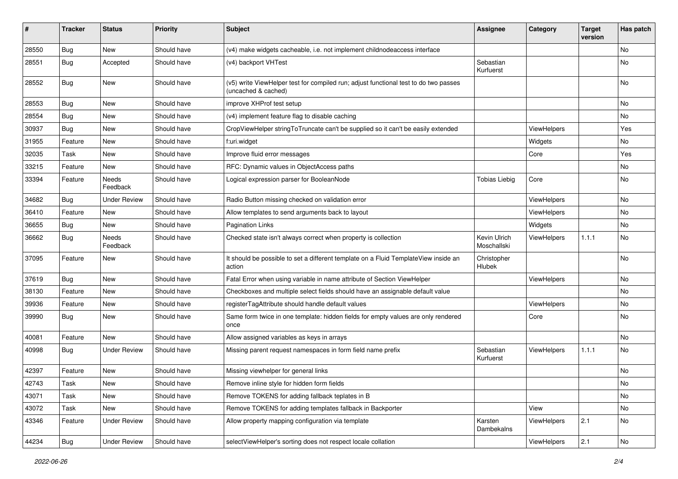| #     | <b>Tracker</b> | <b>Status</b>       | <b>Priority</b> | <b>Subject</b>                                                                                              | Assignee                    | <b>Category</b> | <b>Target</b><br>version | Has patch                    |
|-------|----------------|---------------------|-----------------|-------------------------------------------------------------------------------------------------------------|-----------------------------|-----------------|--------------------------|------------------------------|
| 28550 | Bug            | New                 | Should have     | (v4) make widgets cacheable, i.e. not implement childnodeaccess interface                                   |                             |                 |                          | <b>No</b>                    |
| 28551 | Bug            | Accepted            | Should have     | (v4) backport VHTest                                                                                        | Sebastian<br>Kurfuerst      |                 |                          | No                           |
| 28552 | Bug            | New                 | Should have     | (v5) write ViewHelper test for compiled run; adjust functional test to do two passes<br>(uncached & cached) |                             |                 |                          | No                           |
| 28553 | <b>Bug</b>     | <b>New</b>          | Should have     | improve XHProf test setup                                                                                   |                             |                 |                          | <b>No</b>                    |
| 28554 | Bug            | New                 | Should have     | (v4) implement feature flag to disable caching                                                              |                             |                 |                          | No                           |
| 30937 | Bug            | New                 | Should have     | CropViewHelper stringToTruncate can't be supplied so it can't be easily extended                            |                             | ViewHelpers     |                          | Yes                          |
| 31955 | Feature        | <b>New</b>          | Should have     | f:uri.widget                                                                                                |                             | Widgets         |                          | No                           |
| 32035 | Task           | New                 | Should have     | Improve fluid error messages                                                                                |                             | Core            |                          | Yes                          |
| 33215 | Feature        | New                 | Should have     | RFC: Dynamic values in ObjectAccess paths                                                                   |                             |                 |                          | No                           |
| 33394 | Feature        | Needs<br>Feedback   | Should have     | Logical expression parser for BooleanNode                                                                   | <b>Tobias Liebig</b>        | Core            |                          | No                           |
| 34682 | Bug            | <b>Under Review</b> | Should have     | Radio Button missing checked on validation error                                                            |                             | ViewHelpers     |                          | <b>No</b>                    |
| 36410 | Feature        | New                 | Should have     | Allow templates to send arguments back to layout                                                            |                             | ViewHelpers     |                          | No                           |
| 36655 | Bug            | New                 | Should have     | <b>Pagination Links</b>                                                                                     |                             | Widgets         |                          | No                           |
| 36662 | Bug            | Needs<br>Feedback   | Should have     | Checked state isn't always correct when property is collection                                              | Kevin Ulrich<br>Moschallski | ViewHelpers     | 1.1.1                    | No                           |
| 37095 | Feature        | New                 | Should have     | It should be possible to set a different template on a Fluid TemplateView inside an<br>action               | Christopher<br>Hlubek       |                 |                          | <b>No</b>                    |
| 37619 | Bug            | <b>New</b>          | Should have     | Fatal Error when using variable in name attribute of Section ViewHelper                                     |                             | ViewHelpers     |                          | No                           |
| 38130 | Feature        | New                 | Should have     | Checkboxes and multiple select fields should have an assignable default value                               |                             |                 |                          | <b>No</b>                    |
| 39936 | Feature        | New                 | Should have     | registerTagAttribute should handle default values                                                           |                             | ViewHelpers     |                          | No                           |
| 39990 | Bug            | New                 | Should have     | Same form twice in one template: hidden fields for empty values are only rendered<br>once                   |                             | Core            |                          | No                           |
| 40081 | Feature        | New                 | Should have     | Allow assigned variables as keys in arrays                                                                  |                             |                 |                          | <b>No</b>                    |
| 40998 | Bug            | <b>Under Review</b> | Should have     | Missing parent request namespaces in form field name prefix                                                 | Sebastian<br>Kurfuerst      | ViewHelpers     | 1.1.1                    | No                           |
| 42397 | Feature        | New                 | Should have     | Missing viewhelper for general links                                                                        |                             |                 |                          | No                           |
| 42743 | Task           | New                 | Should have     | Remove inline style for hidden form fields                                                                  |                             |                 |                          | $\operatorname{\mathsf{No}}$ |
| 43071 | Task           | New                 | Should have     | Remove TOKENS for adding fallback teplates in B                                                             |                             |                 |                          | No                           |
| 43072 | Task           | New                 | Should have     | Remove TOKENS for adding templates fallback in Backporter                                                   |                             | View            |                          | No                           |
| 43346 | Feature        | <b>Under Review</b> | Should have     | Allow property mapping configuration via template                                                           | Karsten<br>Dambekalns       | ViewHelpers     | 2.1                      | No                           |
| 44234 | <b>Bug</b>     | <b>Under Review</b> | Should have     | selectViewHelper's sorting does not respect locale collation                                                |                             | ViewHelpers     | 2.1                      | No                           |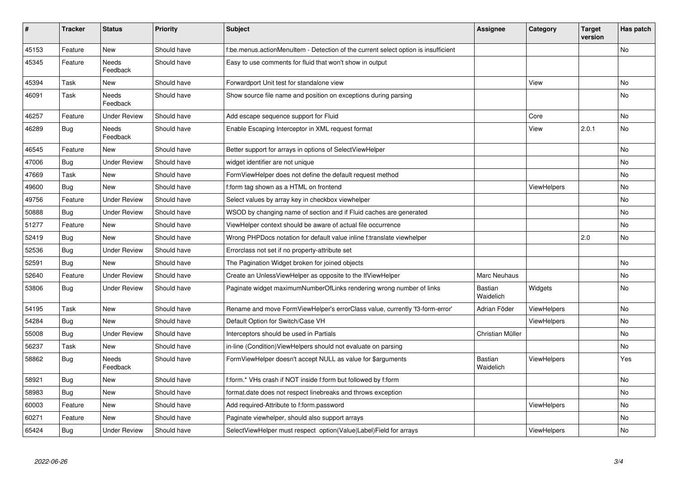| #     | <b>Tracker</b> | <b>Status</b>            | <b>Priority</b> | <b>Subject</b>                                                                     | <b>Assignee</b>      | Category           | <b>Target</b><br>version | Has patch |
|-------|----------------|--------------------------|-----------------|------------------------------------------------------------------------------------|----------------------|--------------------|--------------------------|-----------|
| 45153 | Feature        | New                      | Should have     | f:be.menus.actionMenuItem - Detection of the current select option is insufficient |                      |                    |                          | <b>No</b> |
| 45345 | Feature        | Needs<br>Feedback        | Should have     | Easy to use comments for fluid that won't show in output                           |                      |                    |                          |           |
| 45394 | Task           | New                      | Should have     | Forwardport Unit test for standalone view                                          |                      | View               |                          | <b>No</b> |
| 46091 | Task           | Needs<br>Feedback        | Should have     | Show source file name and position on exceptions during parsing                    |                      |                    |                          | No        |
| 46257 | Feature        | <b>Under Review</b>      | Should have     | Add escape sequence support for Fluid                                              |                      | Core               |                          | <b>No</b> |
| 46289 | Bug            | Needs<br>Feedback        | Should have     | Enable Escaping Interceptor in XML request format                                  |                      | View               | 2.0.1                    | <b>No</b> |
| 46545 | Feature        | New                      | Should have     | Better support for arrays in options of SelectViewHelper                           |                      |                    |                          | <b>No</b> |
| 47006 | Bug            | <b>Under Review</b>      | Should have     | widget identifier are not unique                                                   |                      |                    |                          | No        |
| 47669 | Task           | New                      | Should have     | FormViewHelper does not define the default request method                          |                      |                    |                          | No        |
| 49600 | Bug            | <b>New</b>               | Should have     | f:form tag shown as a HTML on frontend                                             |                      | ViewHelpers        |                          | <b>No</b> |
| 49756 | Feature        | <b>Under Review</b>      | Should have     | Select values by array key in checkbox viewhelper                                  |                      |                    |                          | No        |
| 50888 | <b>Bug</b>     | Under Review             | Should have     | WSOD by changing name of section and if Fluid caches are generated                 |                      |                    |                          | No        |
| 51277 | Feature        | New                      | Should have     | ViewHelper context should be aware of actual file occurrence                       |                      |                    |                          | No        |
| 52419 | <b>Bug</b>     | <b>New</b>               | Should have     | Wrong PHPDocs notation for default value inline f:translate viewhelper             |                      |                    | 2.0                      | <b>No</b> |
| 52536 | <b>Bug</b>     | Under Review             | Should have     | Errorclass not set if no property-attribute set                                    |                      |                    |                          |           |
| 52591 | <b>Bug</b>     | <b>New</b>               | Should have     | The Pagination Widget broken for joined objects                                    |                      |                    |                          | No        |
| 52640 | Feature        | <b>Under Review</b>      | Should have     | Create an UnlessViewHelper as opposite to the IfViewHelper                         | Marc Neuhaus         |                    |                          | <b>No</b> |
| 53806 | Bug            | <b>Under Review</b>      | Should have     | Paginate widget maximumNumberOfLinks rendering wrong number of links               | Bastian<br>Waidelich | Widgets            |                          | No        |
| 54195 | Task           | New                      | Should have     | Rename and move FormViewHelper's errorClass value, currently 'f3-form-error'       | Adrian Föder         | ViewHelpers        |                          | No        |
| 54284 | Bug            | New                      | Should have     | Default Option for Switch/Case VH                                                  |                      | ViewHelpers        |                          | <b>No</b> |
| 55008 | Bug            | Under Review             | Should have     | Interceptors should be used in Partials                                            | Christian Müller     |                    |                          | <b>No</b> |
| 56237 | Task           | New                      | Should have     | in-line (Condition) View Helpers should not evaluate on parsing                    |                      |                    |                          | No        |
| 58862 | <b>Bug</b>     | <b>Needs</b><br>Feedback | Should have     | FormViewHelper doesn't accept NULL as value for \$arguments                        | Bastian<br>Waidelich | <b>ViewHelpers</b> |                          | Yes       |
| 58921 | Bug            | New                      | Should have     | f:form.* VHs crash if NOT inside f:form but followed by f:form                     |                      |                    |                          | No        |
| 58983 | Bug            | New                      | Should have     | format.date does not respect linebreaks and throws exception                       |                      |                    |                          | No        |
| 60003 | Feature        | New                      | Should have     | Add required-Attribute to f:form.password                                          |                      | ViewHelpers        |                          | No        |
| 60271 | Feature        | <b>New</b>               | Should have     | Paginate viewhelper, should also support arrays                                    |                      |                    |                          | No        |
| 65424 | <b>Bug</b>     | <b>Under Review</b>      | Should have     | SelectViewHelper must respect option(Value Label)Field for arrays                  |                      | ViewHelpers        |                          | No        |